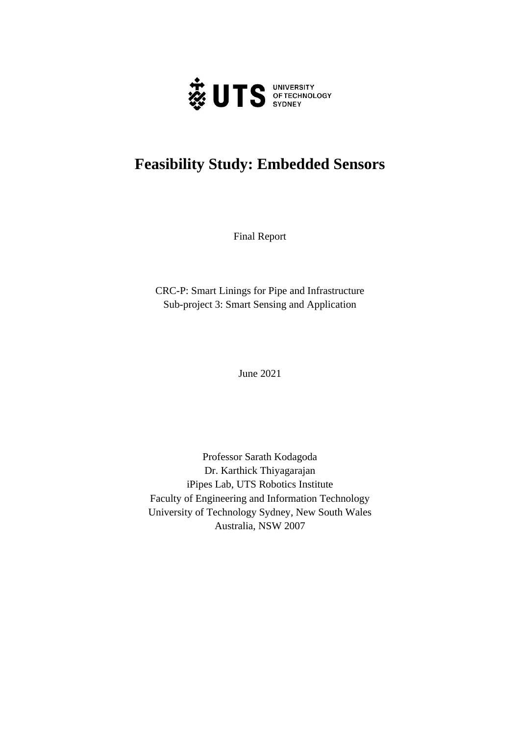

# **Feasibility Study: Embedded Sensors**

Final Report

CRC-P: Smart Linings for Pipe and Infrastructure Sub-project 3: Smart Sensing and Application

June 2021

Professor Sarath Kodagoda Dr. Karthick Thiyagarajan iPipes Lab, UTS Robotics Institute Faculty of Engineering and Information Technology University of Technology Sydney, New South Wales Australia, NSW 2007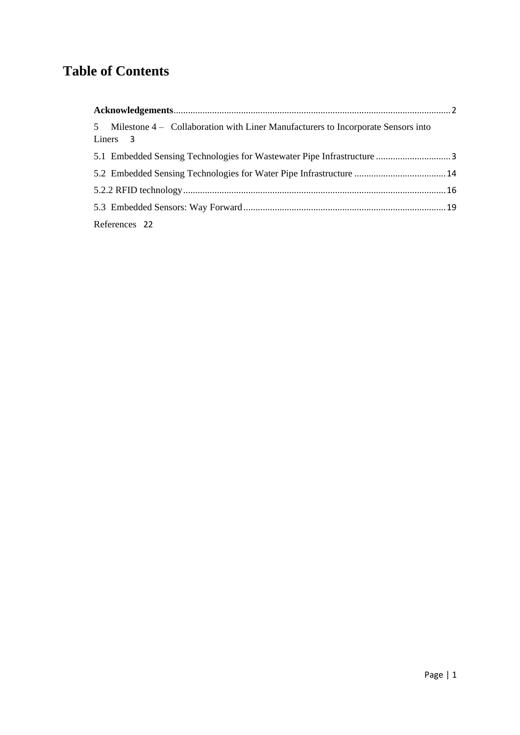## **Table of Contents**

| 5 Milestone 4 – Collaboration with Liner Manufacturers to Incorporate Sensors into<br>Liners 3 |  |
|------------------------------------------------------------------------------------------------|--|
|                                                                                                |  |
|                                                                                                |  |
|                                                                                                |  |
|                                                                                                |  |
| References 22                                                                                  |  |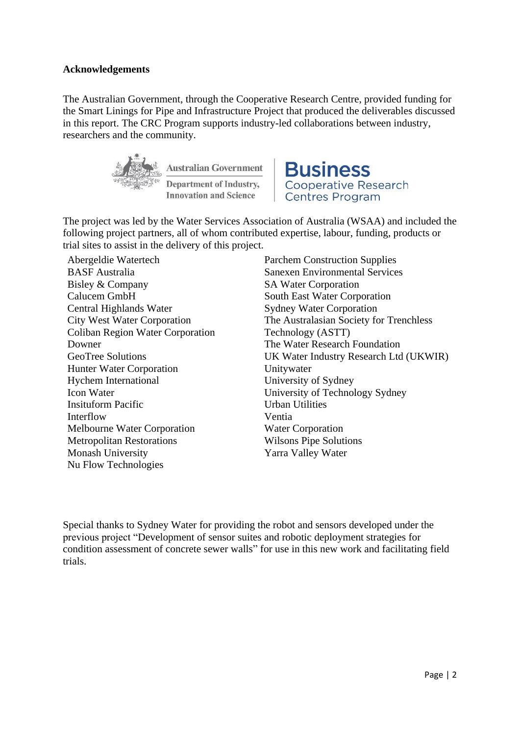## <span id="page-2-0"></span>**Acknowledgements**

The Australian Government, through the Cooperative Research Centre, provided funding for the Smart Linings for Pipe and Infrastructure Project that produced the deliverables discussed in this report. The CRC Program supports industry-led collaborations between industry, researchers and the community.



**Australian Government Department of Industry, Innovation and Science** 

**Business Cooperative Research Centres Program** 

The project was led by the Water Services Association of Australia (WSAA) and included the following project partners, all of whom contributed expertise, labour, funding, products or trial sites to assist in the delivery of this project.

Abergeldie Watertech BASF Australia Bisley & Company Calucem GmbH Central Highlands Water City West Water Corporation Coliban Region Water Corporation Downer GeoTree Solutions Hunter Water Corporation Hychem International Icon Water Insituform Pacific Interflow Melbourne Water Corporation Metropolitan Restorations Monash University Nu Flow Technologies

Parchem Construction Supplies Sanexen Environmental Services SA Water Corporation South East Water Corporation Sydney Water Corporation The Australasian Society for Trenchless Technology (ASTT) The Water Research Foundation UK Water Industry Research Ltd (UKWIR) Unitywater University of Sydney University of Technology Sydney Urban Utilities Ventia Water Corporation Wilsons Pipe Solutions Yarra Valley Water

Special thanks to Sydney Water for providing the robot and sensors developed under the previous project "Development of sensor suites and robotic deployment strategies for condition assessment of concrete sewer walls" for use in this new work and facilitating field trials.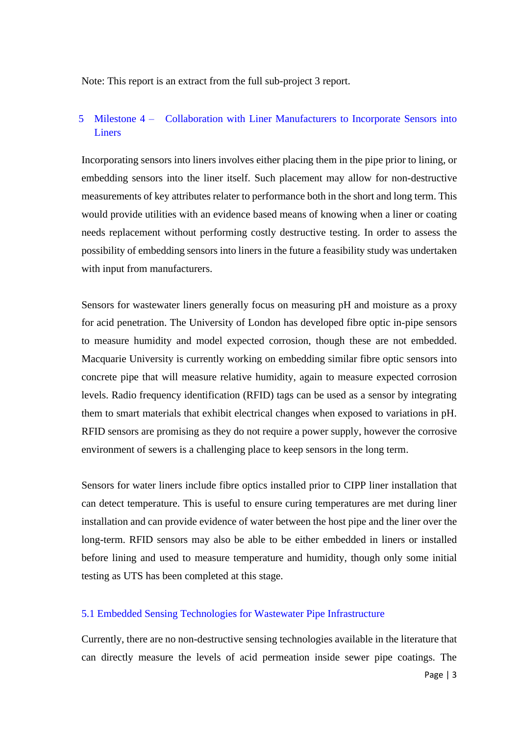Note: This report is an extract from the full sub-project 3 report.

## <span id="page-3-0"></span>5 Milestone 4 – Collaboration with Liner Manufacturers to Incorporate Sensors into **Liners**

Incorporating sensors into liners involves either placing them in the pipe prior to lining, or embedding sensors into the liner itself. Such placement may allow for non-destructive measurements of key attributes relater to performance both in the short and long term. This would provide utilities with an evidence based means of knowing when a liner or coating needs replacement without performing costly destructive testing. In order to assess the possibility of embedding sensors into liners in the future a feasibility study was undertaken with input from manufacturers.

Sensors for wastewater liners generally focus on measuring pH and moisture as a proxy for acid penetration. The University of London has developed fibre optic in-pipe sensors to measure humidity and model expected corrosion, though these are not embedded. Macquarie University is currently working on embedding similar fibre optic sensors into concrete pipe that will measure relative humidity, again to measure expected corrosion levels. Radio frequency identification (RFID) tags can be used as a sensor by integrating them to smart materials that exhibit electrical changes when exposed to variations in pH. RFID sensors are promising as they do not require a power supply, however the corrosive environment of sewers is a challenging place to keep sensors in the long term.

Sensors for water liners include fibre optics installed prior to CIPP liner installation that can detect temperature. This is useful to ensure curing temperatures are met during liner installation and can provide evidence of water between the host pipe and the liner over the long-term. RFID sensors may also be able to be either embedded in liners or installed before lining and used to measure temperature and humidity, though only some initial testing as UTS has been completed at this stage.

## <span id="page-3-1"></span>5.1 Embedded Sensing Technologies for Wastewater Pipe Infrastructure

Currently, there are no non-destructive sensing technologies available in the literature that can directly measure the levels of acid permeation inside sewer pipe coatings. The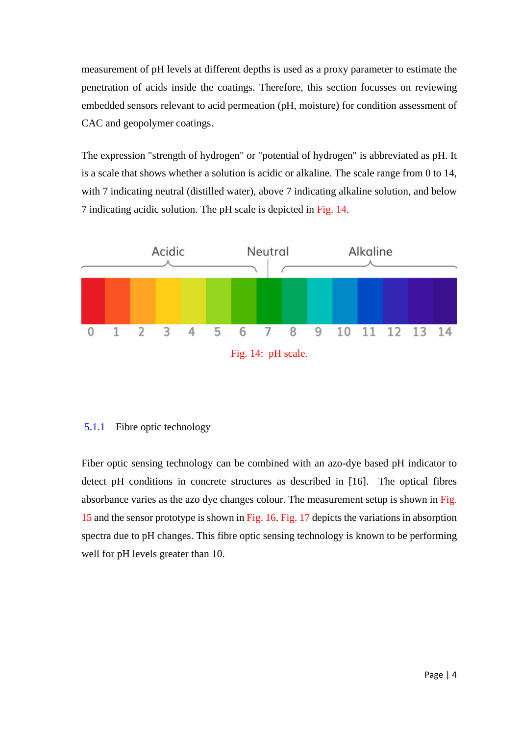measurement of pH levels at different depths is used as a proxy parameter to estimate the penetration of acids inside the coatings. Therefore, this section focusses on reviewing embedded sensors relevant to acid permeation (pH, moisture) for condition assessment of CAC and geopolymer coatings.

The expression "strength of hydrogen" or "potential of hydrogen" is abbreviated as pH. It is a scale that shows whether a solution is acidic or alkaline. The scale range from 0 to 14, with 7 indicating neutral (distilled water), above 7 indicating alkaline solution, and below 7 indicating acidic solution. The pH scale is depicted in Fig. 14.



## 5.1.1 Fibre optic technology

Fiber optic sensing technology can be combined with an azo-dye based pH indicator to detect pH conditions in concrete structures as described in [16]. The optical fibres absorbance varies as the azo dye changes colour. The measurement setup is shown in Fig. 15 and the sensor prototype is shown in Fig. 16. Fig. 17 depicts the variations in absorption spectra due to pH changes. This fibre optic sensing technology is known to be performing well for pH levels greater than 10.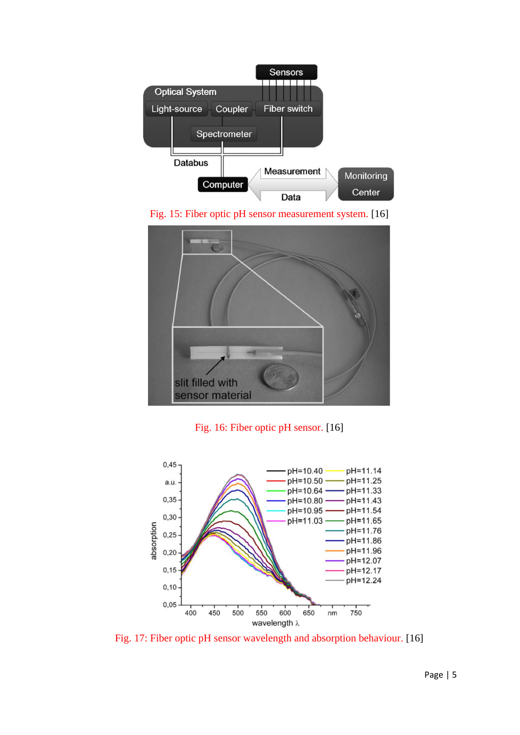









Fig. 17: Fiber optic pH sensor wavelength and absorption behaviour. [16]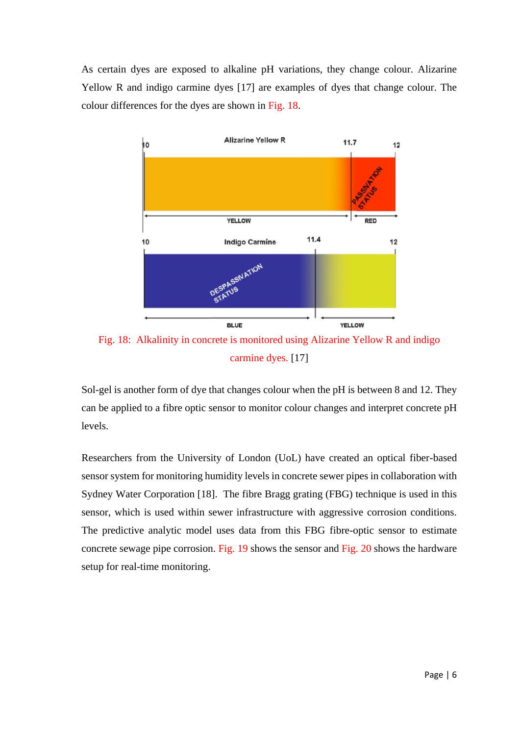As certain dyes are exposed to alkaline pH variations, they change colour. Alizarine Yellow R and indigo carmine dyes [17] are examples of dyes that change colour. The colour differences for the dyes are shown in Fig. 18.



Fig. 18: Alkalinity in concrete is monitored using Alizarine Yellow R and indigo carmine dyes. [17]

Sol-gel is another form of dye that changes colour when the pH is between 8 and 12. They can be applied to a fibre optic sensor to monitor colour changes and interpret concrete pH levels.

Researchers from the University of London (UoL) have created an optical fiber-based sensor system for monitoring humidity levels in concrete sewer pipes in collaboration with Sydney Water Corporation [18]. The fibre Bragg grating (FBG) technique is used in this sensor, which is used within sewer infrastructure with aggressive corrosion conditions. The predictive analytic model uses data from this FBG fibre-optic sensor to estimate concrete sewage pipe corrosion. Fig. 19 shows the sensor and Fig. 20 shows the hardware setup for real-time monitoring.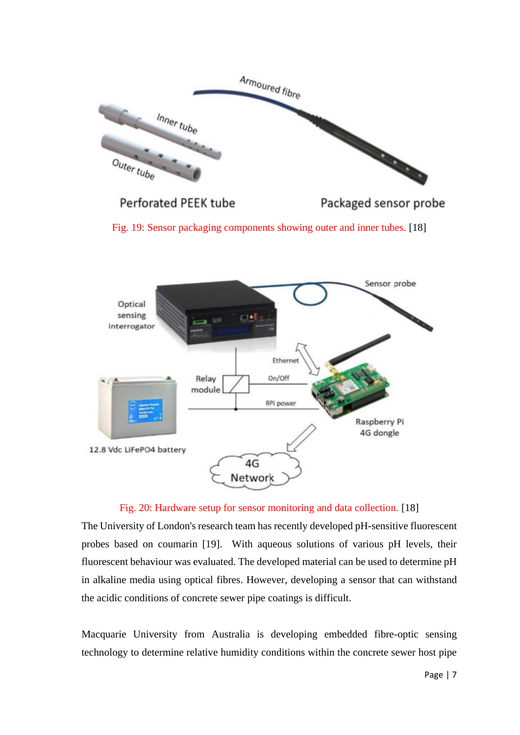

**Perforated PEEK tube** 

Packaged sensor probe

Fig. 19: Sensor packaging components showing outer and inner tubes. [18]



Fig. 20: Hardware setup for sensor monitoring and data collection. [18]

The University of London's research team has recently developed pH-sensitive fluorescent probes based on coumarin [19]. With aqueous solutions of various pH levels, their fluorescent behaviour was evaluated. The developed material can be used to determine pH in alkaline media using optical fibres. However, developing a sensor that can withstand the acidic conditions of concrete sewer pipe coatings is difficult.

Macquarie University from Australia is developing embedded fibre-optic sensing technology to determine relative humidity conditions within the concrete sewer host pipe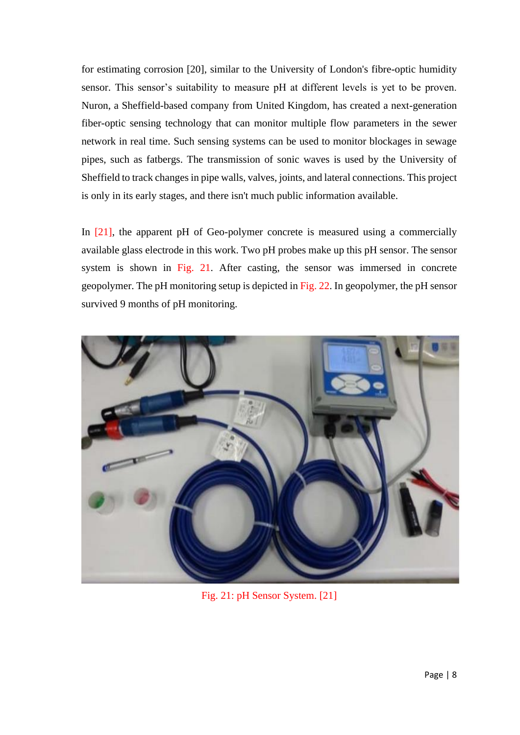for estimating corrosion [20], similar to the University of London's fibre-optic humidity sensor. This sensor's suitability to measure pH at different levels is yet to be proven. Nuron, a Sheffield-based company from United Kingdom, has created a next-generation fiber-optic sensing technology that can monitor multiple flow parameters in the sewer network in real time. Such sensing systems can be used to monitor blockages in sewage pipes, such as fatbergs. The transmission of sonic waves is used by the University of Sheffield to track changes in pipe walls, valves, joints, and lateral connections. This project is only in its early stages, and there isn't much public information available.

In [21], the apparent pH of Geo-polymer concrete is measured using a commercially available glass electrode in this work. Two pH probes make up this pH sensor. The sensor system is shown in Fig. 21. After casting, the sensor was immersed in concrete geopolymer. The pH monitoring setup is depicted in Fig. 22. In geopolymer, the pH sensor survived 9 months of pH monitoring.



Fig. 21: pH Sensor System. [21]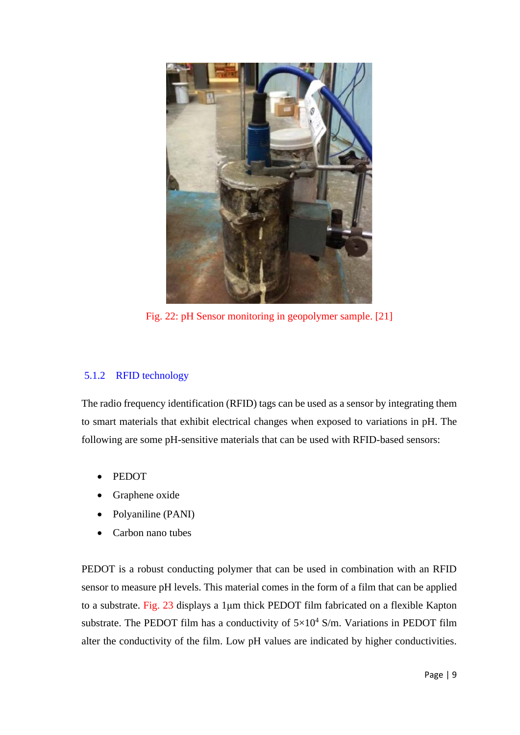

Fig. 22: pH Sensor monitoring in geopolymer sample. [21]

## 5.1.2 RFID technology

The radio frequency identification (RFID) tags can be used as a sensor by integrating them to smart materials that exhibit electrical changes when exposed to variations in pH. The following are some pH-sensitive materials that can be used with RFID-based sensors:

- PEDOT
- Graphene oxide
- Polyaniline (PANI)
- Carbon nano tubes

PEDOT is a robust conducting polymer that can be used in combination with an RFID sensor to measure pH levels. This material comes in the form of a film that can be applied to a substrate. Fig. 23 displays a 1μm thick PEDOT film fabricated on a flexible Kapton substrate. The PEDOT film has a conductivity of  $5\times10^4$  S/m. Variations in PEDOT film alter the conductivity of the film. Low pH values are indicated by higher conductivities.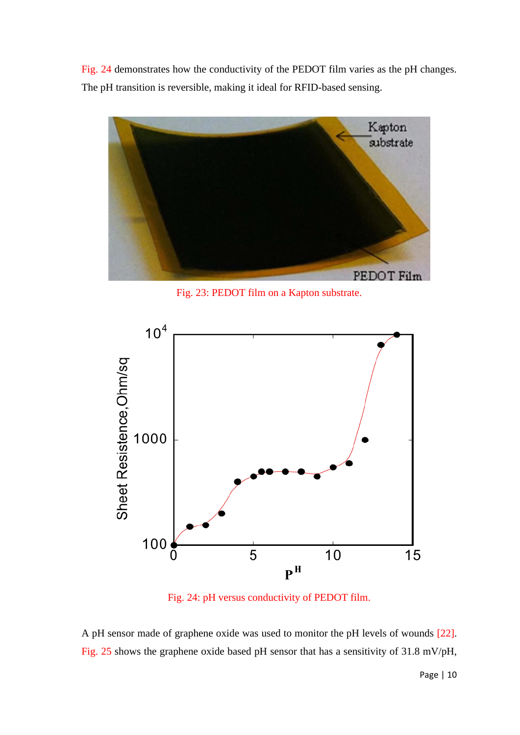Fig. 24 demonstrates how the conductivity of the PEDOT film varies as the pH changes. The pH transition is reversible, making it ideal for RFID-based sensing.



Fig. 23: PEDOT film on a Kapton substrate.



Fig. 24: pH versus conductivity of PEDOT film.

A pH sensor made of graphene oxide was used to monitor the pH levels of wounds [22]. Fig. 25 shows the graphene oxide based pH sensor that has a sensitivity of 31.8 mV/pH,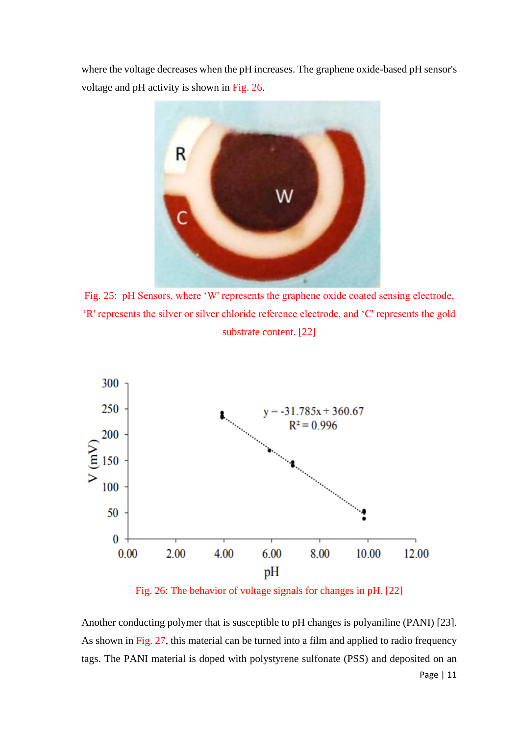where the voltage decreases when the pH increases. The graphene oxide-based pH sensor's voltage and pH activity is shown in Fig. 26.



Fig. 25: pH Sensors, where 'W' represents the graphene oxide coated sensing electrode, 'R' represents the silver or silver chloride reference electrode, and 'C' represents the gold substrate content. [22]



Fig. 26: The behavior of voltage signals for changes in pH. [22]

Page | 11 Another conducting polymer that is susceptible to pH changes is polyaniline (PANI) [23]. As shown in Fig. 27, this material can be turned into a film and applied to radio frequency tags. The PANI material is doped with polystyrene sulfonate (PSS) and deposited on an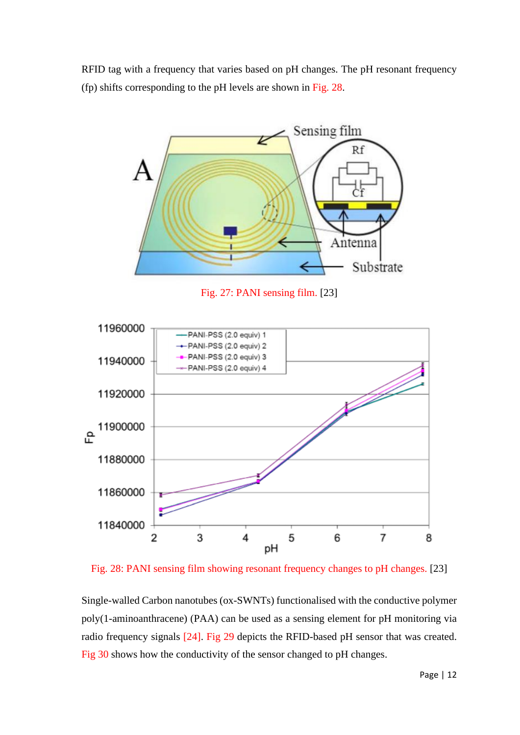RFID tag with a frequency that varies based on pH changes. The pH resonant frequency (fp) shifts corresponding to the pH levels are shown in Fig. 28.



Fig. 27: PANI sensing film. [23]



Fig. 28: PANI sensing film showing resonant frequency changes to pH changes. [23]

Single-walled Carbon nanotubes (ox-SWNTs) functionalised with the conductive polymer poly(1-aminoanthracene) (PAA) can be used as a sensing element for pH monitoring via radio frequency signals [24]. Fig 29 depicts the RFID-based pH sensor that was created. Fig 30 shows how the conductivity of the sensor changed to pH changes.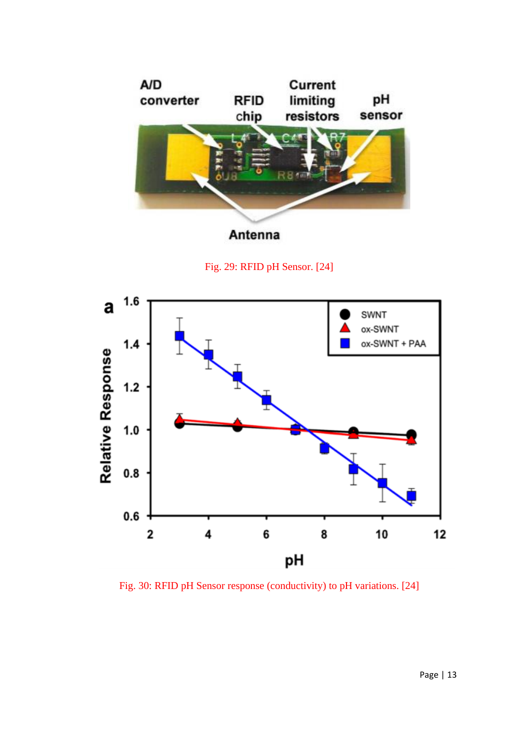

Fig. 29: RFID pH Sensor. [24]



Fig. 30: RFID pH Sensor response (conductivity) to pH variations. [24]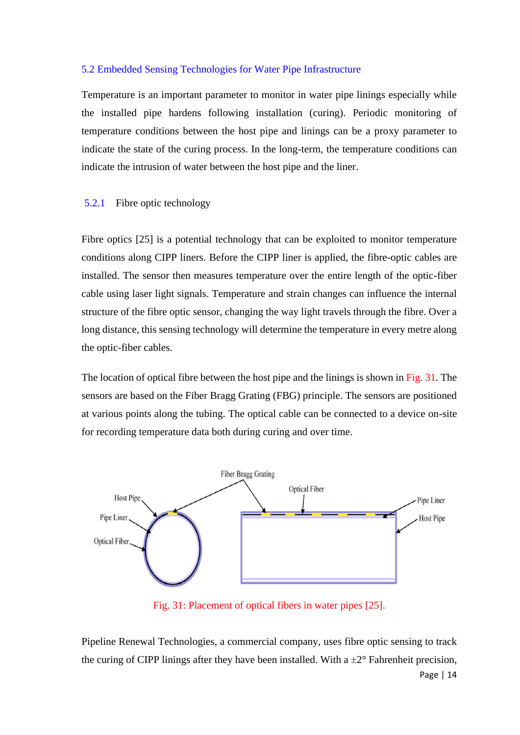#### <span id="page-14-0"></span>5.2 Embedded Sensing Technologies for Water Pipe Infrastructure

Temperature is an important parameter to monitor in water pipe linings especially while the installed pipe hardens following installation (curing). Periodic monitoring of temperature conditions between the host pipe and linings can be a proxy parameter to indicate the state of the curing process. In the long-term, the temperature conditions can indicate the intrusion of water between the host pipe and the liner.

#### 5.2.1 Fibre optic technology

Fibre optics [25] is a potential technology that can be exploited to monitor temperature conditions along CIPP liners. Before the CIPP liner is applied, the fibre-optic cables are installed. The sensor then measures temperature over the entire length of the optic-fiber cable using laser light signals. Temperature and strain changes can influence the internal structure of the fibre optic sensor, changing the way light travels through the fibre. Over a long distance, this sensing technology will determine the temperature in every metre along the optic-fiber cables.

The location of optical fibre between the host pipe and the linings is shown in Fig. 31. The sensors are based on the Fiber Bragg Grating (FBG) principle. The sensors are positioned at various points along the tubing. The optical cable can be connected to a device on-site for recording temperature data both during curing and over time.



Fig. 31: Placement of optical fibers in water pipes [25].

Pipeline Renewal Technologies, a commercial company, uses fibre optic sensing to track the curing of CIPP linings after they have been installed. With a  $\pm 2^{\circ}$  Fahrenheit precision,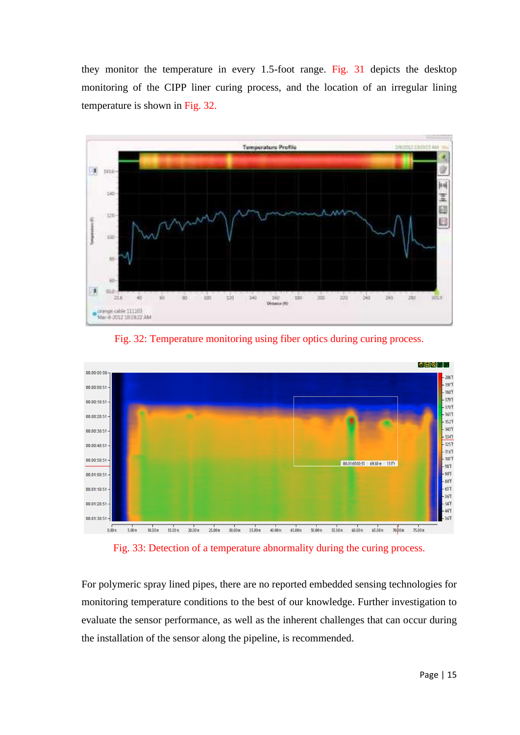they monitor the temperature in every 1.5-foot range. Fig. 31 depicts the desktop monitoring of the CIPP liner curing process, and the location of an irregular lining temperature is shown in Fig. 32.



Fig. 32: Temperature monitoring using fiber optics during curing process.



Fig. 33: Detection of a temperature abnormality during the curing process.

For polymeric spray lined pipes, there are no reported embedded sensing technologies for monitoring temperature conditions to the best of our knowledge. Further investigation to evaluate the sensor performance, as well as the inherent challenges that can occur during the installation of the sensor along the pipeline, is recommended.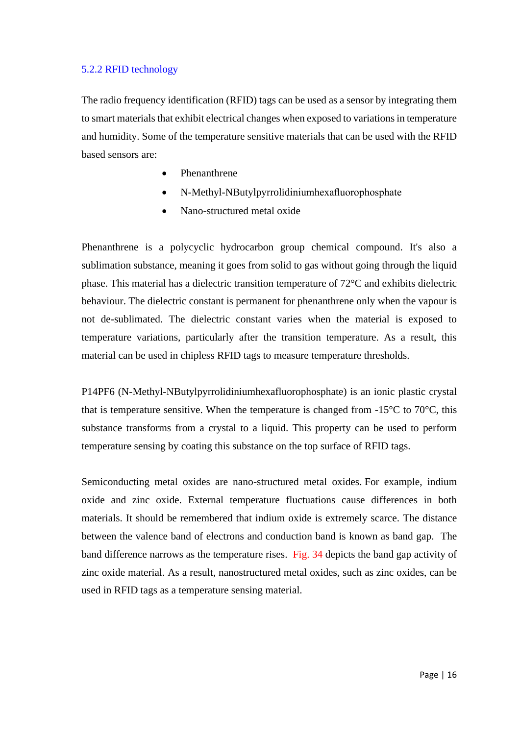## <span id="page-16-0"></span>5.2.2 RFID technology

The radio frequency identification (RFID) tags can be used as a sensor by integrating them to smart materials that exhibit electrical changes when exposed to variations in temperature and humidity. Some of the temperature sensitive materials that can be used with the RFID based sensors are:

- Phenanthrene
- N-Methyl-NButylpyrrolidiniumhexafluorophosphate
- Nano-structured metal oxide

Phenanthrene is a polycyclic hydrocarbon group chemical compound. It's also a sublimation substance, meaning it goes from solid to gas without going through the liquid phase. This material has a dielectric transition temperature of 72°C and exhibits dielectric behaviour. The dielectric constant is permanent for phenanthrene only when the vapour is not de-sublimated. The dielectric constant varies when the material is exposed to temperature variations, particularly after the transition temperature. As a result, this material can be used in chipless RFID tags to measure temperature thresholds.

P14PF6 (N-Methyl-NButylpyrrolidiniumhexafluorophosphate) is an ionic plastic crystal that is temperature sensitive. When the temperature is changed from  $-15^{\circ}$ C to 70 $^{\circ}$ C, this substance transforms from a crystal to a liquid. This property can be used to perform temperature sensing by coating this substance on the top surface of RFID tags.

Semiconducting metal oxides are nano-structured metal oxides. For example, indium oxide and zinc oxide. External temperature fluctuations cause differences in both materials. It should be remembered that indium oxide is extremely scarce. The distance between the valence band of electrons and conduction band is known as band gap. The band difference narrows as the temperature rises. Fig. 34 depicts the band gap activity of zinc oxide material. As a result, nanostructured metal oxides, such as zinc oxides, can be used in RFID tags as a temperature sensing material.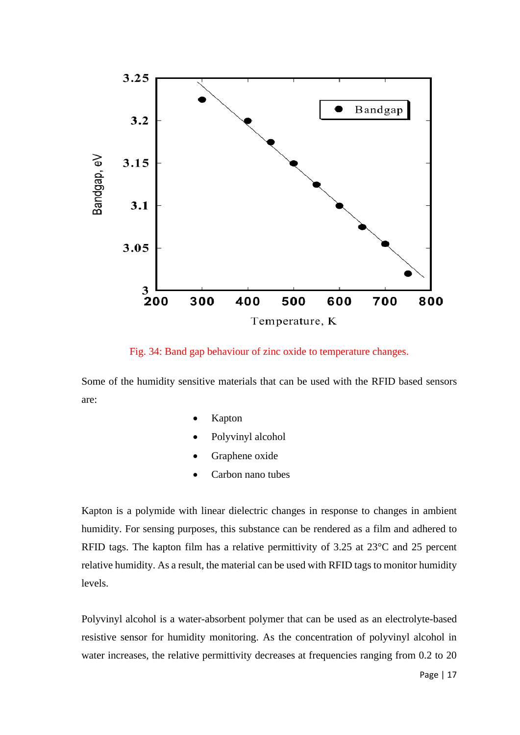

Fig. 34: Band gap behaviour of zinc oxide to temperature changes.

Some of the humidity sensitive materials that can be used with the RFID based sensors are:

- Kapton
- Polyvinyl alcohol
- Graphene oxide
- Carbon nano tubes

Kapton is a polymide with linear dielectric changes in response to changes in ambient humidity. For sensing purposes, this substance can be rendered as a film and adhered to RFID tags. The kapton film has a relative permittivity of 3.25 at 23°C and 25 percent relative humidity. As a result, the material can be used with RFID tags to monitor humidity levels.

Polyvinyl alcohol is a water-absorbent polymer that can be used as an electrolyte-based resistive sensor for humidity monitoring. As the concentration of polyvinyl alcohol in water increases, the relative permittivity decreases at frequencies ranging from 0.2 to 20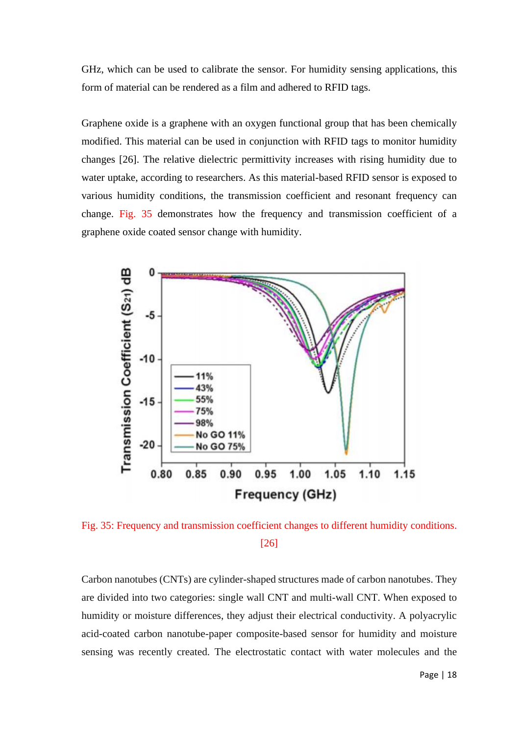GHz, which can be used to calibrate the sensor. For humidity sensing applications, this form of material can be rendered as a film and adhered to RFID tags.

Graphene oxide is a graphene with an oxygen functional group that has been chemically modified. This material can be used in conjunction with RFID tags to monitor humidity changes [26]. The relative dielectric permittivity increases with rising humidity due to water uptake, according to researchers. As this material-based RFID sensor is exposed to various humidity conditions, the transmission coefficient and resonant frequency can change. Fig. 35 demonstrates how the frequency and transmission coefficient of a graphene oxide coated sensor change with humidity.



Fig. 35: Frequency and transmission coefficient changes to different humidity conditions. [26]

Carbon nanotubes (CNTs) are cylinder-shaped structures made of carbon nanotubes. They are divided into two categories: single wall CNT and multi-wall CNT. When exposed to humidity or moisture differences, they adjust their electrical conductivity. A polyacrylic acid-coated carbon nanotube-paper composite-based sensor for humidity and moisture sensing was recently created. The electrostatic contact with water molecules and the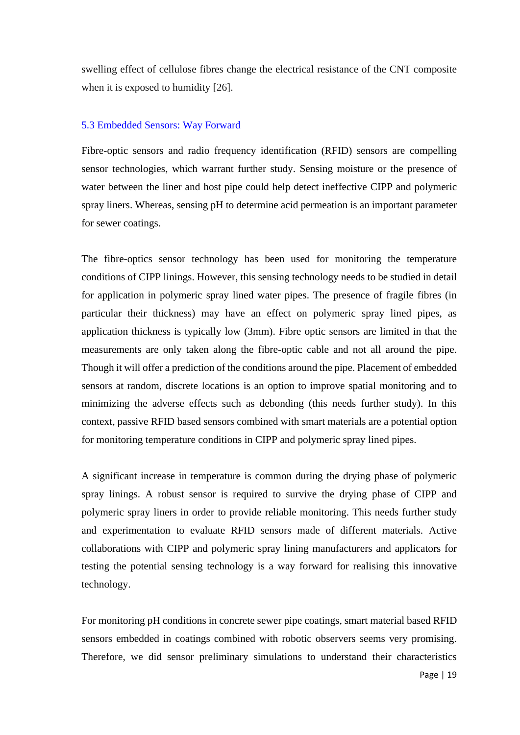swelling effect of cellulose fibres change the electrical resistance of the CNT composite when it is exposed to humidity [26].

#### <span id="page-19-0"></span>5.3 Embedded Sensors: Way Forward

Fibre-optic sensors and radio frequency identification (RFID) sensors are compelling sensor technologies, which warrant further study. Sensing moisture or the presence of water between the liner and host pipe could help detect ineffective CIPP and polymeric spray liners. Whereas, sensing pH to determine acid permeation is an important parameter for sewer coatings.

The fibre-optics sensor technology has been used for monitoring the temperature conditions of CIPP linings. However, this sensing technology needs to be studied in detail for application in polymeric spray lined water pipes. The presence of fragile fibres (in particular their thickness) may have an effect on polymeric spray lined pipes, as application thickness is typically low (3mm). Fibre optic sensors are limited in that the measurements are only taken along the fibre-optic cable and not all around the pipe. Though it will offer a prediction of the conditions around the pipe. Placement of embedded sensors at random, discrete locations is an option to improve spatial monitoring and to minimizing the adverse effects such as debonding (this needs further study). In this context, passive RFID based sensors combined with smart materials are a potential option for monitoring temperature conditions in CIPP and polymeric spray lined pipes.

A significant increase in temperature is common during the drying phase of polymeric spray linings. A robust sensor is required to survive the drying phase of CIPP and polymeric spray liners in order to provide reliable monitoring. This needs further study and experimentation to evaluate RFID sensors made of different materials. Active collaborations with CIPP and polymeric spray lining manufacturers and applicators for testing the potential sensing technology is a way forward for realising this innovative technology.

For monitoring pH conditions in concrete sewer pipe coatings, smart material based RFID sensors embedded in coatings combined with robotic observers seems very promising. Therefore, we did sensor preliminary simulations to understand their characteristics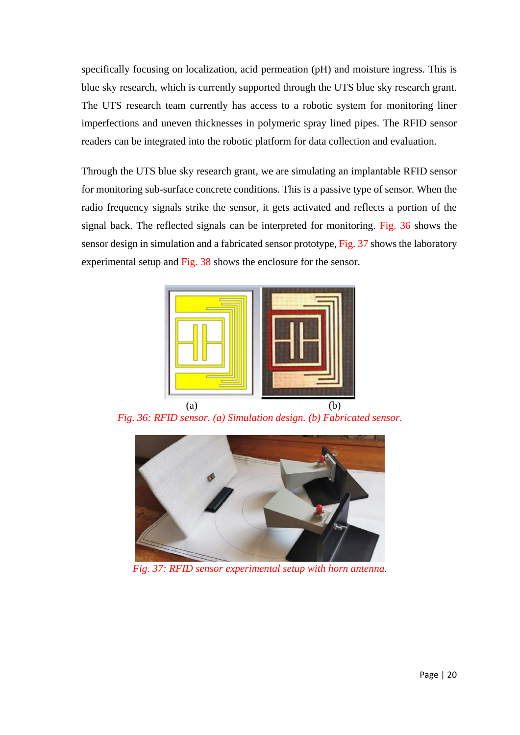specifically focusing on localization, acid permeation (pH) and moisture ingress. This is blue sky research, which is currently supported through the UTS blue sky research grant. The UTS research team currently has access to a robotic system for monitoring liner imperfections and uneven thicknesses in polymeric spray lined pipes. The RFID sensor readers can be integrated into the robotic platform for data collection and evaluation.

Through the UTS blue sky research grant, we are simulating an implantable RFID sensor for monitoring sub-surface concrete conditions. This is a passive type of sensor. When the radio frequency signals strike the sensor, it gets activated and reflects a portion of the signal back. The reflected signals can be interpreted for monitoring. Fig. 36 shows the sensor design in simulation and a fabricated sensor prototype, Fig. 37 shows the laboratory experimental setup and Fig. 38 shows the enclosure for the sensor.



 $(a)$  (b) *Fig. 36: RFID sensor. (a) Simulation design. (b) Fabricated sensor.*



*Fig. 37: RFID sensor experimental setup with horn antenna.*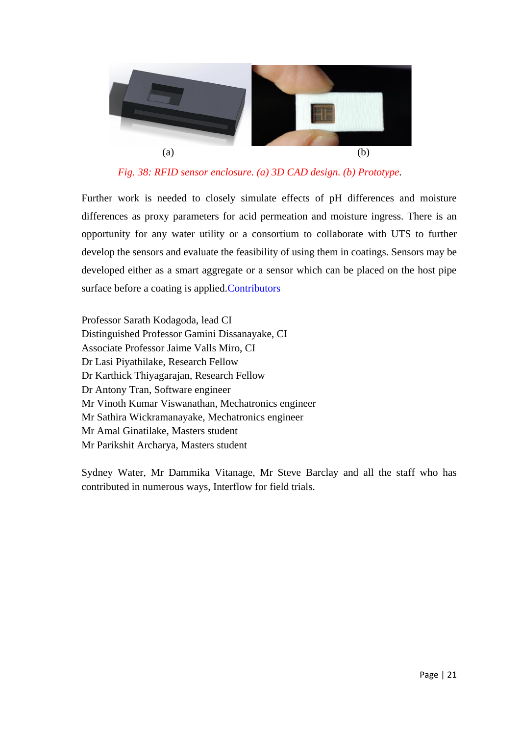

*Fig. 38: RFID sensor enclosure. (a) 3D CAD design. (b) Prototype.*

Further work is needed to closely simulate effects of pH differences and moisture differences as proxy parameters for acid permeation and moisture ingress. There is an opportunity for any water utility or a consortium to collaborate with UTS to further develop the sensors and evaluate the feasibility of using them in coatings. Sensors may be developed either as a smart aggregate or a sensor which can be placed on the host pipe surface before a coating is applied.Contributors

Professor Sarath Kodagoda, lead CI Distinguished Professor Gamini Dissanayake, CI Associate Professor Jaime Valls Miro, CI Dr Lasi Piyathilake, Research Fellow Dr Karthick Thiyagarajan, Research Fellow Dr Antony Tran, Software engineer Mr Vinoth Kumar Viswanathan, Mechatronics engineer Mr Sathira Wickramanayake, Mechatronics engineer Mr Amal Ginatilake, Masters student Mr Parikshit Archarya, Masters student

Sydney Water, Mr Dammika Vitanage, Mr Steve Barclay and all the staff who has contributed in numerous ways, Interflow for field trials.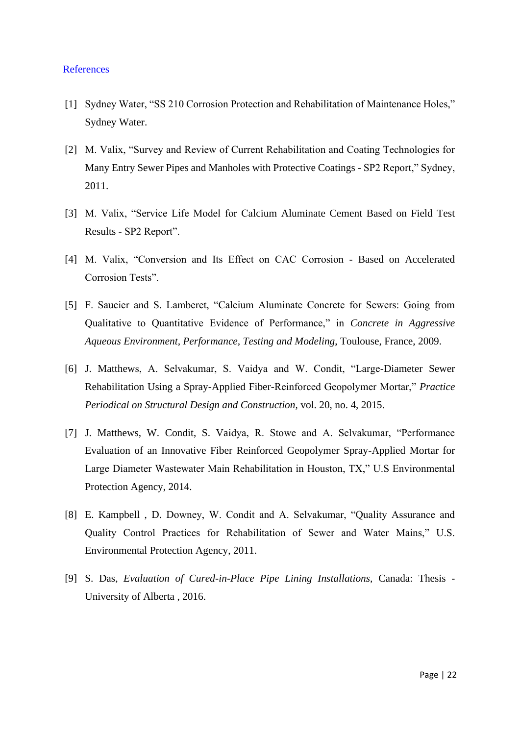#### <span id="page-22-0"></span>References

- [1] Sydney Water, "SS 210 Corrosion Protection and Rehabilitation of Maintenance Holes," Sydney Water.
- [2] M. Valix, "Survey and Review of Current Rehabilitation and Coating Technologies for Many Entry Sewer Pipes and Manholes with Protective Coatings - SP2 Report," Sydney, 2011.
- [3] M. Valix, "Service Life Model for Calcium Aluminate Cement Based on Field Test Results - SP2 Report".
- [4] M. Valix, "Conversion and Its Effect on CAC Corrosion Based on Accelerated Corrosion Tests".
- [5] F. Saucier and S. Lamberet, "Calcium Aluminate Concrete for Sewers: Going from Qualitative to Quantitative Evidence of Performance," in *Concrete in Aggressive Aqueous Environment, Performance, Testing and Modeling*, Toulouse, France, 2009.
- [6] J. Matthews, A. Selvakumar, S. Vaidya and W. Condit, "Large-Diameter Sewer Rehabilitation Using a Spray-Applied Fiber-Reinforced Geopolymer Mortar," *Practice Periodical on Structural Design and Construction,* vol. 20, no. 4, 2015.
- [7] J. Matthews, W. Condit, S. Vaidya, R. Stowe and A. Selvakumar, "Performance Evaluation of an Innovative Fiber Reinforced Geopolymer Spray-Applied Mortar for Large Diameter Wastewater Main Rehabilitation in Houston, TX," U.S Environmental Protection Agency, 2014.
- [8] E. Kampbell , D. Downey, W. Condit and A. Selvakumar, "Quality Assurance and Quality Control Practices for Rehabilitation of Sewer and Water Mains," U.S. Environmental Protection Agency, 2011.
- [9] S. Das, *Evaluation of Cured-in-Place Pipe Lining Installations,* Canada: Thesis University of Alberta , 2016.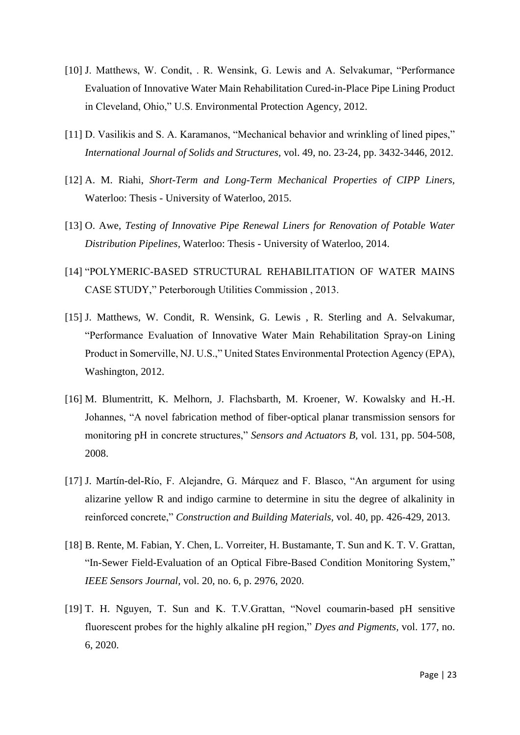- [10] J. Matthews, W. Condit, . R. Wensink, G. Lewis and A. Selvakumar, "Performance Evaluation of Innovative Water Main Rehabilitation Cured-in-Place Pipe Lining Product in Cleveland, Ohio," U.S. Environmental Protection Agency, 2012.
- [11] D. Vasilikis and S. A. Karamanos, "Mechanical behavior and wrinkling of lined pipes," *International Journal of Solids and Structures,* vol. 49, no. 23-24, pp. 3432-3446, 2012.
- [12] A. M. Riahi, *Short-Term and Long-Term Mechanical Properties of CIPP Liners,*  Waterloo: Thesis - University of Waterloo, 2015.
- [13] O. Awe, *Testing of Innovative Pipe Renewal Liners for Renovation of Potable Water Distribution Pipelines,* Waterloo: Thesis - University of Waterloo, 2014.
- [14] "POLYMERIC-BASED STRUCTURAL REHABILITATION OF WATER MAINS CASE STUDY," Peterborough Utilities Commission , 2013.
- [15] J. Matthews, W. Condit, R. Wensink, G. Lewis, R. Sterling and A. Selvakumar, "Performance Evaluation of Innovative Water Main Rehabilitation Spray-on Lining Product in Somerville, NJ. U.S.," United States Environmental Protection Agency (EPA), Washington, 2012.
- [16] M. Blumentritt, K. Melhorn, J. Flachsbarth, M. Kroener, W. Kowalsky and H.-H. Johannes, "A novel fabrication method of fiber-optical planar transmission sensors for monitoring pH in concrete structures," *Sensors and Actuators B,* vol. 131, pp. 504-508, 2008.
- [17] J. Martín-del-Río, F. Alejandre, G. Márquez and F. Blasco, "An argument for using alizarine yellow R and indigo carmine to determine in situ the degree of alkalinity in reinforced concrete," *Construction and Building Materials,* vol. 40, pp. 426-429, 2013.
- [18] B. Rente, M. Fabian, Y. Chen, L. Vorreiter, H. Bustamante, T. Sun and K. T. V. Grattan, "In-Sewer Field-Evaluation of an Optical Fibre-Based Condition Monitoring System," *IEEE Sensors Journal,* vol. 20, no. 6, p. 2976, 2020.
- [19] T. H. Nguyen, T. Sun and K. T.V.Grattan, "Novel coumarin-based pH sensitive fluorescent probes for the highly alkaline pH region," *Dyes and Pigments,* vol. 177, no. 6, 2020.